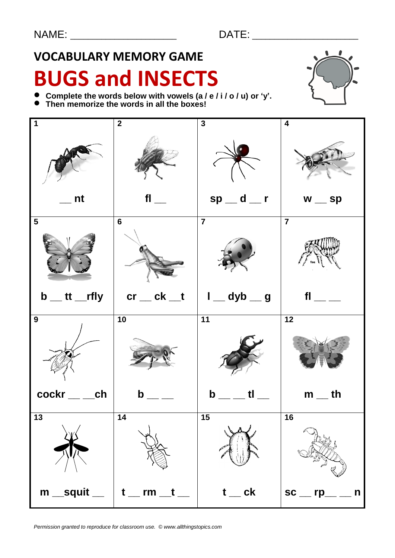## **VOCABULARY MEMORY GAME**

# **BUGS and INSECTS**



- **Complete the words below with vowels (a / e / i / o / u) or 'y'.**
- Complete the words below with vowels (a)<br>● Then memorize the words in all the boxes!

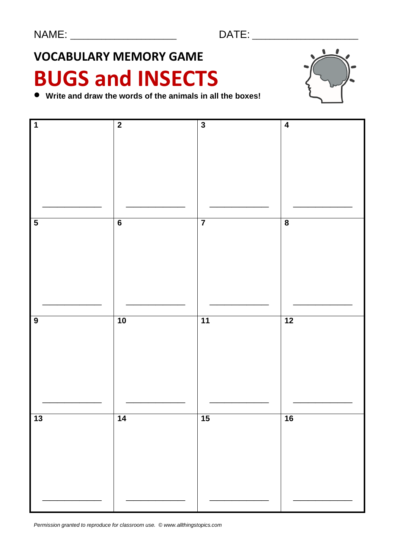## **VOCABULARY MEMORY GAME**

# **BUGS and INSECTS**



**Write and draw the words of the animals in all the boxes!**



*Permission granted to reproduce for classroom use. © www.allthingstopics.com*